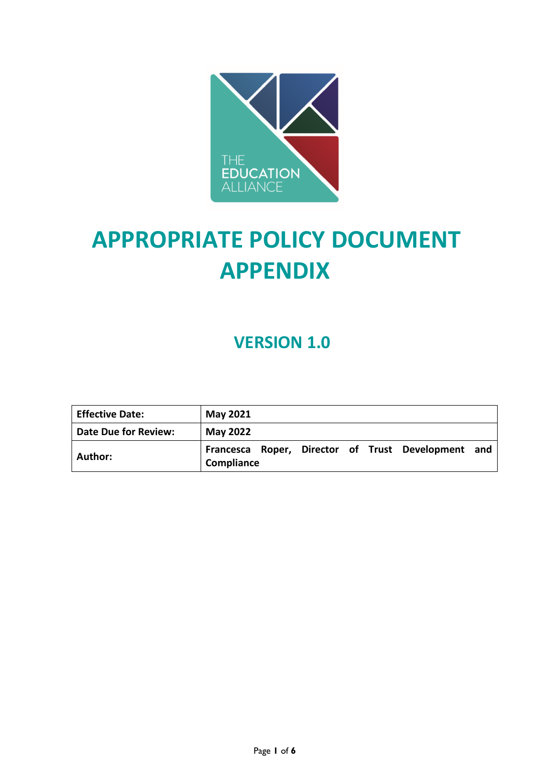

# **APPROPRIATE POLICY DOCUMENT APPENDIX**

# **VERSION 1.0**

| <b>Effective Date:</b>      | <b>May 2021</b>                                                  |
|-----------------------------|------------------------------------------------------------------|
| <b>Date Due for Review:</b> | <b>May 2022</b>                                                  |
| Author:                     | Francesca Roper, Director of Trust Development and<br>Compliance |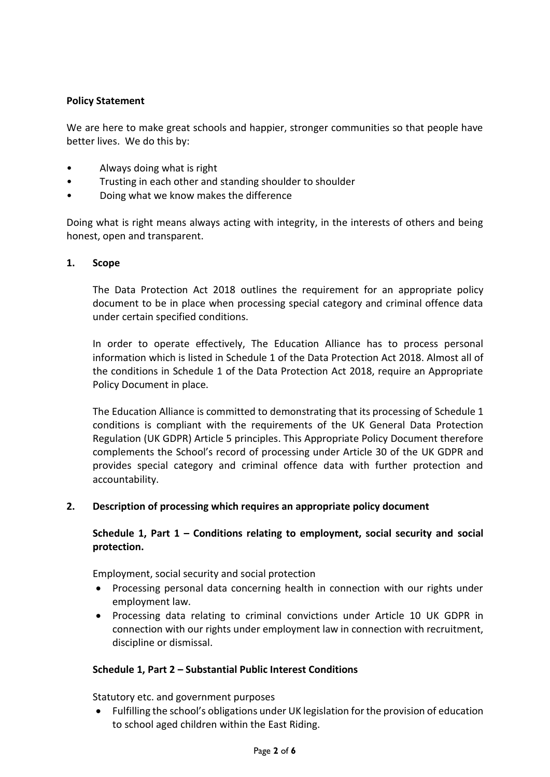#### **Policy Statement**

We are here to make great schools and happier, stronger communities so that people have better lives. We do this by:

- Always doing what is right
- Trusting in each other and standing shoulder to shoulder
- Doing what we know makes the difference

Doing what is right means always acting with integrity, in the interests of others and being honest, open and transparent.

#### **1. Scope**

The Data Protection Act 2018 outlines the requirement for an appropriate policy document to be in place when processing special category and criminal offence data under certain specified conditions.

In order to operate effectively, The Education Alliance has to process personal information which is listed in Schedule 1 of the Data Protection Act 2018. Almost all of the conditions in Schedule 1 of the Data Protection Act 2018, require an Appropriate Policy Document in place.

The Education Alliance is committed to demonstrating that its processing of Schedule 1 conditions is compliant with the requirements of the UK General Data Protection Regulation (UK GDPR) Article 5 principles. This Appropriate Policy Document therefore complements the School's record of processing under Article 30 of the UK GDPR and provides special category and criminal offence data with further protection and accountability.

#### **2. Description of processing which requires an appropriate policy document**

# **Schedule 1, Part 1 – Conditions relating to employment, social security and social protection.**

Employment, social security and social protection

- Processing personal data concerning health in connection with our rights under employment law.
- Processing data relating to criminal convictions under Article 10 UK GDPR in connection with our rights under employment law in connection with recruitment, discipline or dismissal.

#### **Schedule 1, Part 2 – Substantial Public Interest Conditions**

Statutory etc. and government purposes

 Fulfilling the school's obligations under UK legislation for the provision of education to school aged children within the East Riding.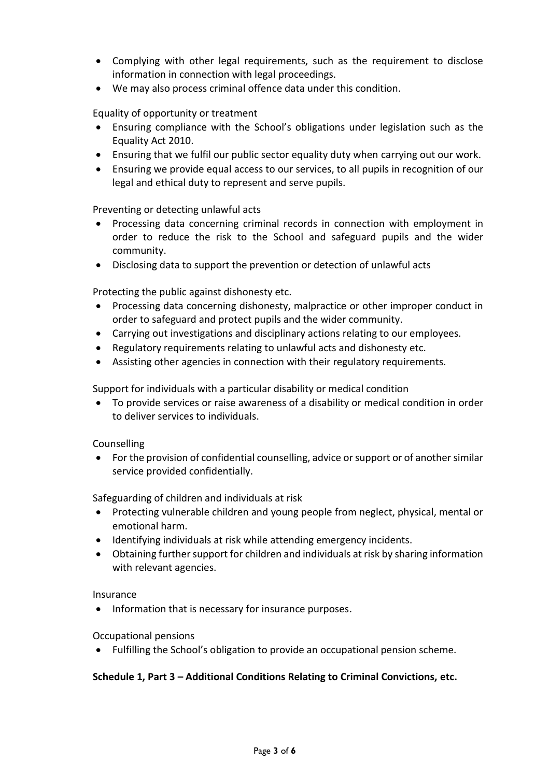- Complying with other legal requirements, such as the requirement to disclose information in connection with legal proceedings.
- We may also process criminal offence data under this condition.

Equality of opportunity or treatment

- Ensuring compliance with the School's obligations under legislation such as the Equality Act 2010.
- Ensuring that we fulfil our public sector equality duty when carrying out our work.
- Ensuring we provide equal access to our services, to all pupils in recognition of our legal and ethical duty to represent and serve pupils.

Preventing or detecting unlawful acts

- Processing data concerning criminal records in connection with employment in order to reduce the risk to the School and safeguard pupils and the wider community.
- Disclosing data to support the prevention or detection of unlawful acts

Protecting the public against dishonesty etc.

- Processing data concerning dishonesty, malpractice or other improper conduct in order to safeguard and protect pupils and the wider community.
- Carrying out investigations and disciplinary actions relating to our employees.
- Regulatory requirements relating to unlawful acts and dishonesty etc.
- Assisting other agencies in connection with their regulatory requirements.

Support for individuals with a particular disability or medical condition

 To provide services or raise awareness of a disability or medical condition in order to deliver services to individuals.

#### Counselling

 For the provision of confidential counselling, advice or support or of another similar service provided confidentially.

Safeguarding of children and individuals at risk

- Protecting vulnerable children and young people from neglect, physical, mental or emotional harm.
- Identifying individuals at risk while attending emergency incidents.
- Obtaining further support for children and individuals at risk by sharing information with relevant agencies.

#### Insurance

• Information that is necessary for insurance purposes.

#### Occupational pensions

Fulfilling the School's obligation to provide an occupational pension scheme.

#### **Schedule 1, Part 3 – Additional Conditions Relating to Criminal Convictions, etc.**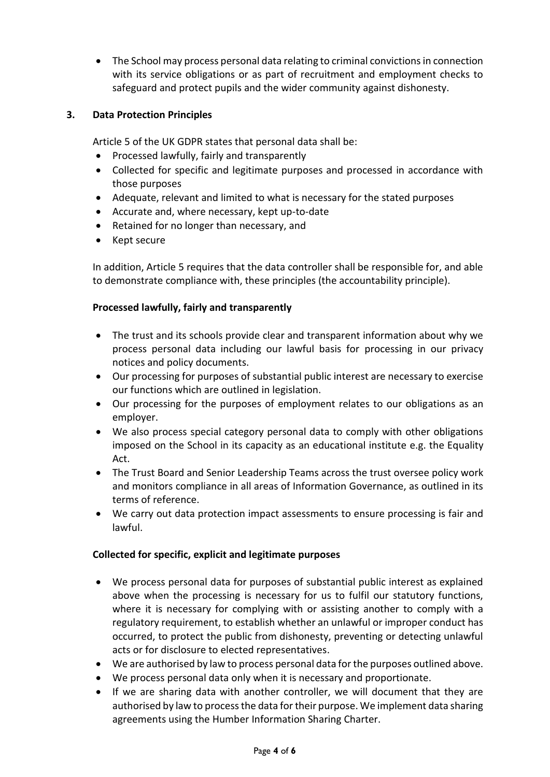The School may process personal data relating to criminal convictions in connection with its service obligations or as part of recruitment and employment checks to safeguard and protect pupils and the wider community against dishonesty.

## **3. Data Protection Principles**

Article 5 of the UK GDPR states that personal data shall be:

- Processed lawfully, fairly and transparently
- Collected for specific and legitimate purposes and processed in accordance with those purposes
- Adequate, relevant and limited to what is necessary for the stated purposes
- Accurate and, where necessary, kept up-to-date
- Retained for no longer than necessary, and
- Kept secure

In addition, Article 5 requires that the data controller shall be responsible for, and able to demonstrate compliance with, these principles (the accountability principle).

#### **Processed lawfully, fairly and transparently**

- The trust and its schools provide clear and transparent information about why we process personal data including our lawful basis for processing in our privacy notices and policy documents.
- Our processing for purposes of substantial public interest are necessary to exercise our functions which are outlined in legislation.
- Our processing for the purposes of employment relates to our obligations as an employer.
- We also process special category personal data to comply with other obligations imposed on the School in its capacity as an educational institute e.g. the Equality Act.
- The Trust Board and Senior Leadership Teams across the trust oversee policy work and monitors compliance in all areas of Information Governance, as outlined in its terms of reference.
- We carry out data protection impact assessments to ensure processing is fair and lawful.

#### **Collected for specific, explicit and legitimate purposes**

- We process personal data for purposes of substantial public interest as explained above when the processing is necessary for us to fulfil our statutory functions, where it is necessary for complying with or assisting another to comply with a regulatory requirement, to establish whether an unlawful or improper conduct has occurred, to protect the public from dishonesty, preventing or detecting unlawful acts or for disclosure to elected representatives.
- We are authorised by law to process personal data for the purposes outlined above.
- We process personal data only when it is necessary and proportionate.
- If we are sharing data with another controller, we will document that they are authorised by law to process the data for their purpose. We implement data sharing agreements using the Humber Information Sharing Charter.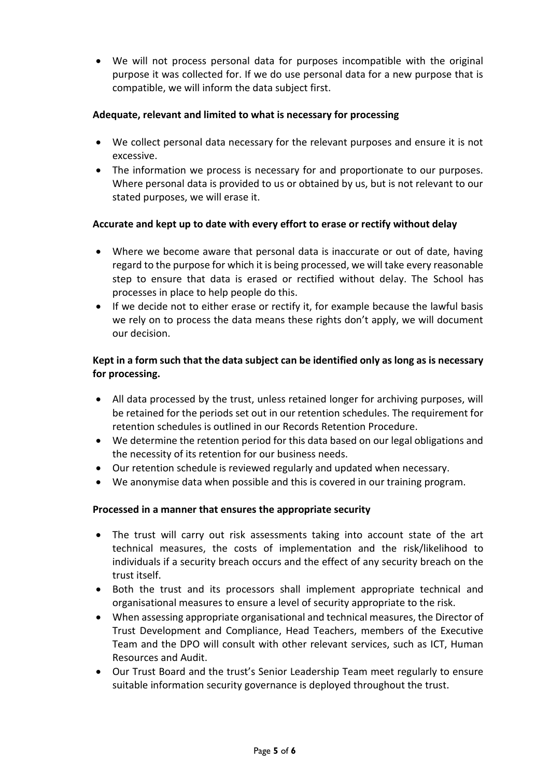We will not process personal data for purposes incompatible with the original purpose it was collected for. If we do use personal data for a new purpose that is compatible, we will inform the data subject first.

## **Adequate, relevant and limited to what is necessary for processing**

- We collect personal data necessary for the relevant purposes and ensure it is not excessive.
- The information we process is necessary for and proportionate to our purposes. Where personal data is provided to us or obtained by us, but is not relevant to our stated purposes, we will erase it.

# **Accurate and kept up to date with every effort to erase or rectify without delay**

- Where we become aware that personal data is inaccurate or out of date, having regard to the purpose for which it is being processed, we will take every reasonable step to ensure that data is erased or rectified without delay. The School has processes in place to help people do this.
- If we decide not to either erase or rectify it, for example because the lawful basis we rely on to process the data means these rights don't apply, we will document our decision.

# **Kept in a form such that the data subject can be identified only as long as is necessary for processing.**

- All data processed by the trust, unless retained longer for archiving purposes, will be retained for the periods set out in our retention schedules. The requirement for retention schedules is outlined in our Records Retention Procedure.
- We determine the retention period for this data based on our legal obligations and the necessity of its retention for our business needs.
- Our retention schedule is reviewed regularly and updated when necessary.
- We anonymise data when possible and this is covered in our training program.

# **Processed in a manner that ensures the appropriate security**

- The trust will carry out risk assessments taking into account state of the art technical measures, the costs of implementation and the risk/likelihood to individuals if a security breach occurs and the effect of any security breach on the trust itself.
- Both the trust and its processors shall implement appropriate technical and organisational measures to ensure a level of security appropriate to the risk.
- When assessing appropriate organisational and technical measures, the Director of Trust Development and Compliance, Head Teachers, members of the Executive Team and the DPO will consult with other relevant services, such as ICT, Human Resources and Audit.
- Our Trust Board and the trust's Senior Leadership Team meet regularly to ensure suitable information security governance is deployed throughout the trust.